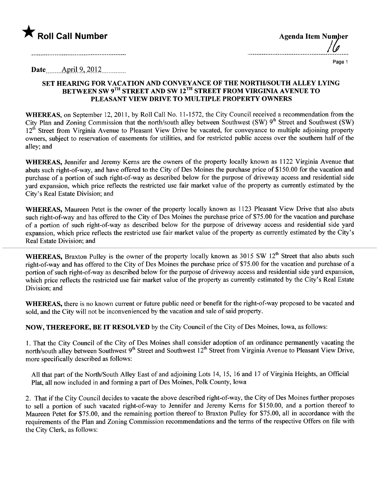

| <b>Agenda Item Number</b> | $\frac{1}{2}$ |
|---------------------------|---------------|
|                           |               |

. . . . . . . . . . . .

Page 1

Date  $\overline{$  April 9, 2012

## SET HEARING FOR VACATION AND CONVEYANCE OF THE NORTH/SOUTH ALLEY LYING BETWEEN SW 9<sup>TH</sup> STREET AND SW 12<sup>TH</sup> STREET FROM VIRGINIA AVENUE TO PLEASANT VIEW DRIVE TO MULTIPLE PROPERTY OWNERS

WHEREAS, on September 12, 2011, by Roll Call No. 11-1572, the City Council received a recommendation from the City Plan and Zoning Commission that the north/south alley between Southwest (SW) 9<sup>th</sup> Street and Southwest (SW)  $12<sup>th</sup>$  Street from Virginia Avenue to Pleasant View Drive be vacated, for conveyance to multiple adjoining property owners, subject to reservation of easements for utilities, and for restricted public access over the southern half of the alley; and

WHEREAS, Jennifer and Jeremy Kerns are the owners of the property locally known as 1122 Virginia Avenue that abuts such right-of-way, and have offered to the City of Des Moines the purchase price of \$150.00 for the vacation and purchase of a portion of such right-of-way as described below for the purpose of driveway access and residential side yard expansion, which price reflects the restricted use fair market value of the property as currently estimated by the City's Real Estate Division; and

WHEREAS, Maureen Petet is the owner of the property locally known as 1123 Pleasant View Drive that also abuts such right-of-way and has offered to the City of Des Moines the purchase price of \$75.00 for the vacation and purchase of a portion of such right-of-way as described below for the purpose of driveway access and residential side yard expansion, which price reflects the restricted use fair market value of the property as currently estimated by the City's Real Estate Division; and

WHEREAS, Braxton Pulley is the owner of the property locally known as 3015 SW 12<sup>th</sup> Street that also abuts such right-of-way and has offered to the City of Des Moines the purchase price of \$75.00 for the vacation and purchase of a portion of such right-of-way as described below for the purpose of driveway access and residential side yard expansion, which price reflects the restricted use fair market value of the property as currently estimated by the City's Real Estate Division; and

WHEREAS, there is no known current or future public need or benefit for the right-of-way proposed to be vacated and sold, and the City will not be inconvenienced by the vacation and sale of said property.

NOW, THEREFORE, BE IT RESOLVED by the City Council of the City of Des Moines, Iowa, as follows:

1. That the City Council of the City of Des Moines shall consider adoption of an ordinance permanently vacating the north/south alley between Southwest  $9<sup>th</sup>$  Street and Southwest  $12<sup>th</sup>$  Street from Virginia Avenue to Pleasant View Drive, more specifically described as follows:

All that part of the North/South Alley East of and adjoining Lots 14, 15, 16 and 17 of Virginia Heights, an Official Plat, all now included in and forming a part of Des Moines, Polk County, Iowa

2. That if the City Council decides to vacate the above described right-of-way, the City of Des Moines further proposes to sell a portion of such vacated right-of-way to Jennifer and Jeremy Kerns for \$150.00, and a portion thereof to Maureen Petet for \$75.00, and the remaining portion thereof to Braxton Pulley for \$75.00, all in accordance with the requirements of the Plan and Zoning Commission recommendations and the terms of the respective Offers on fie with the City Clerk, as follows: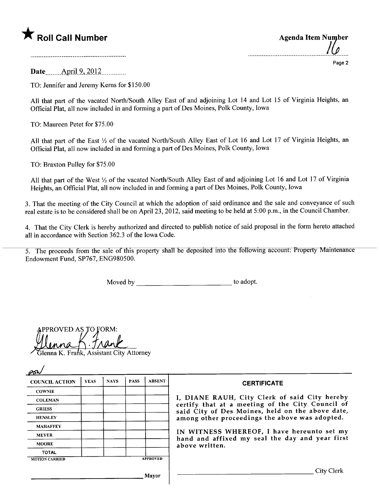

| <b>Agenda Item Number</b> |        |
|---------------------------|--------|
|                           | Page 2 |

Date <u>April 9, 2012</u>

TO: Jennifer and Jeremy Kerns for \$150.00

All that part of the vacated North/South Alley East of and adjoining Lot 14 and Lot 15 of Virginia Heights, an Official Plat, all now included in and forming a part of Des Moines, Polk County, Iowa

TO: Maureen Petet for \$75.00

All that part of the East  $\frac{1}{2}$  of the vacated North/South Alley East of Lot 16 and Lot 17 of Virginia Heights, an Official Plat, all now included in and forming a part of Des Moines, Polk County, Iowa

TO: Braxton Pulley for \$75.00

All that part of the West 1/2 of the vacated North/South Alley East of and adjoining Lot 16 and Lot 17 of Virginia Heights, an Official Plat, all now included in and forming a part of Des Moines, Polk County, Iowa

3. That the meeting of the City Council at which the adoption of said ordinance and the sale and conveyance of such real estate is to be considered shall be on April 23, 2012, said meeting to be held at 5:00 p.m., in the Council Chamber.

4. That the City Clerk is hereby authorized and directed to publish notice of said proposal in the form hereto attached all in accordance with Section 362.3 of the Iowa Code.

5. The proceeds from the sale of this property shall be deposited into the following account: Property Maintenance Endowment Fund, SP767, ENG980500.

Moved by to adopt.

| PPROVED AS TO FORM:     |  |                                |  |
|-------------------------|--|--------------------------------|--|
|                         |  |                                |  |
| $1$ <i>MM</i> $\Lambda$ |  |                                |  |
|                         |  | $coistant$ $Citu$ , $A$ thomas |  |

| Glenna K. Frank, Assistant City Attorney<br>PSh |             |             |             |                 |                                                                                                      |  |
|-------------------------------------------------|-------------|-------------|-------------|-----------------|------------------------------------------------------------------------------------------------------|--|
| <b>COUNCIL ACTION</b>                           | <b>YEAS</b> | <b>NAYS</b> | <b>PASS</b> | <b>ABSENT</b>   | <b>CERTIFICATE</b>                                                                                   |  |
| <b>COWNIE</b>                                   |             |             |             |                 |                                                                                                      |  |
| <b>COLEMAN</b>                                  |             |             |             |                 | I, DIANE RAUH, City Clerk of said City hereby                                                        |  |
| <b>GRIESS</b>                                   |             |             |             |                 | certify that at a meeting of the City Council of<br>said City of Des Moines, held on the above date, |  |
| <b>HENSLEY</b>                                  |             |             |             |                 | among other proceedings the above was adopted.                                                       |  |
| <b>MAHAFFEY</b>                                 |             |             |             |                 |                                                                                                      |  |
| <b>MEYER</b>                                    |             |             |             |                 | IN WITNESS WHEREOF, I have hereunto set my<br>hand and affixed my seal the day and year first        |  |
| <b>MOORE</b>                                    |             |             |             |                 | above written.                                                                                       |  |
| <b>TOTAL</b>                                    |             |             |             |                 |                                                                                                      |  |
| <b>MOTION CARRIED</b>                           |             |             |             | <b>APPROVED</b> |                                                                                                      |  |
|                                                 |             |             |             | Mayor           | City Clerk                                                                                           |  |